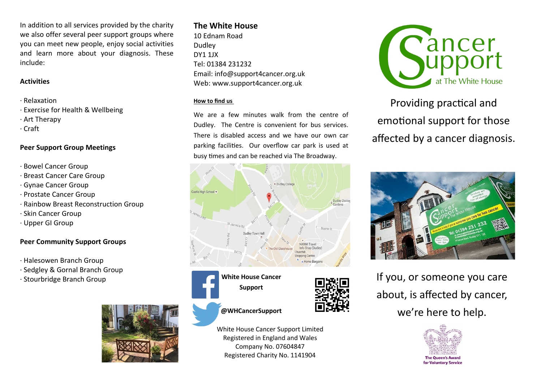In addition to all services provided by the charity we also offer several peer support groups where you can meet new people, enjoy social activities and learn more about your diagnosis. These include:

### **Activities**

- · Relaxation
- · Exercise for Health & Wellbeing
- · Art Therapy
- · Craft

## **Peer Support Group Meetings**

- · Bowel Cancer Group
- · Breast Cancer Care Group
- · Gynae Cancer Group
- · Prostate Cancer Group
- · Rainbow Breast Reconstruction Group
- · Skin Cancer Group
- · Upper GI Group

# **Peer Community Support Groups**

- · Halesowen Branch Group
- · Sedgley & Gornal Branch Group
- · Stourbridge Branch Group



# **The White House**

10 Ednam Road Dudley DY1 1JX Tel: 01384 231232 Email: info@support4cancer.org.uk Web: www.support4cancer.org.uk

### **How to find us**

We are a few minutes walk from the centre of Dudley. The Centre is convenient for bus services. There is disabled access and we have our own car parking facilities. Our overflow car park is used at busy times and can be reached via The Broadway.







White House Cancer Support Limited Registered in England and Wales Company No. 07604847 Registered Charity No. 1141904



Providing practical and emotional support for those affected by a cancer diagnosis.



If you, or someone you care about, is affected by cancer, we're here to help.